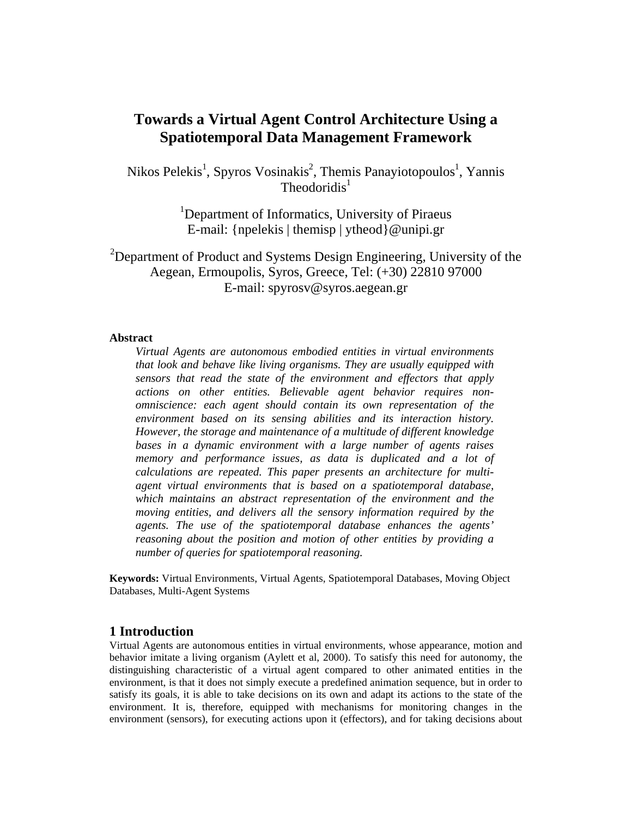# **Towards a Virtual Agent Control Architecture Using a Spatiotemporal Data Management Framework**

Nikos Pelekis<sup>1</sup>, Spyros Vosinakis<sup>2</sup>, Themis Panayiotopoulos<sup>1</sup>, Yannis Theodoridis $<sup>1</sup>$ </sup>

> <sup>1</sup>Department of Informatics, University of Piraeus E-mail: {npelekis | themisp | ytheod}@unipi.gr

 $2$ Department of Product and Systems Design Engineering, University of the Aegean, Ermoupolis, Syros, Greece, Tel: (+30) 22810 97000 E-mail: spyrosv@syros.aegean.gr

#### **Abstract**

*Virtual Agents are autonomous embodied entities in virtual environments that look and behave like living organisms. They are usually equipped with sensors that read the state of the environment and effectors that apply actions on other entities. Believable agent behavior requires nonomniscience: each agent should contain its own representation of the environment based on its sensing abilities and its interaction history. However, the storage and maintenance of a multitude of different knowledge bases in a dynamic environment with a large number of agents raises memory and performance issues, as data is duplicated and a lot of calculations are repeated. This paper presents an architecture for multiagent virtual environments that is based on a spatiotemporal database, which maintains an abstract representation of the environment and the moving entities, and delivers all the sensory information required by the agents. The use of the spatiotemporal database enhances the agents' reasoning about the position and motion of other entities by providing a number of queries for spatiotemporal reasoning.* 

**Keywords:** Virtual Environments, Virtual Agents, Spatiotemporal Databases, Moving Object Databases, Multi-Agent Systems

## **1 Introduction**

Virtual Agents are autonomous entities in virtual environments, whose appearance, motion and behavior imitate a living organism (Aylett et al, 2000). To satisfy this need for autonomy, the distinguishing characteristic of a virtual agent compared to other animated entities in the environment, is that it does not simply execute a predefined animation sequence, but in order to satisfy its goals, it is able to take decisions on its own and adapt its actions to the state of the environment. It is, therefore, equipped with mechanisms for monitoring changes in the environment (sensors), for executing actions upon it (effectors), and for taking decisions about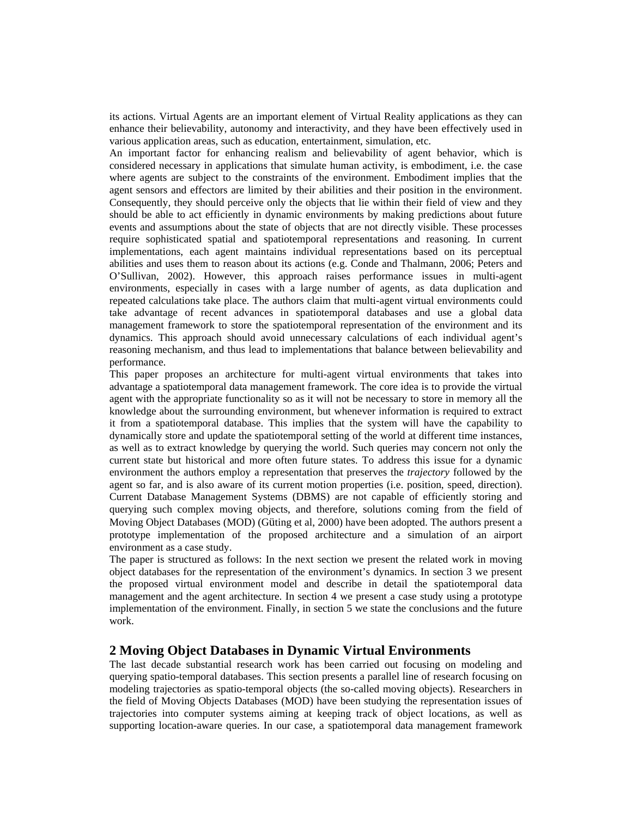its actions. Virtual Agents are an important element of Virtual Reality applications as they can enhance their believability, autonomy and interactivity, and they have been effectively used in various application areas, such as education, entertainment, simulation, etc.

An important factor for enhancing realism and believability of agent behavior, which is considered necessary in applications that simulate human activity, is embodiment, i.e. the case where agents are subject to the constraints of the environment. Embodiment implies that the agent sensors and effectors are limited by their abilities and their position in the environment. Consequently, they should perceive only the objects that lie within their field of view and they should be able to act efficiently in dynamic environments by making predictions about future events and assumptions about the state of objects that are not directly visible. These processes require sophisticated spatial and spatiotemporal representations and reasoning. In current implementations, each agent maintains individual representations based on its perceptual abilities and uses them to reason about its actions (e.g. Conde and Thalmann, 2006; Peters and O'Sullivan, 2002). However, this approach raises performance issues in multi-agent environments, especially in cases with a large number of agents, as data duplication and repeated calculations take place. The authors claim that multi-agent virtual environments could take advantage of recent advances in spatiotemporal databases and use a global data management framework to store the spatiotemporal representation of the environment and its dynamics. This approach should avoid unnecessary calculations of each individual agent's reasoning mechanism, and thus lead to implementations that balance between believability and performance.

This paper proposes an architecture for multi-agent virtual environments that takes into advantage a spatiotemporal data management framework. The core idea is to provide the virtual agent with the appropriate functionality so as it will not be necessary to store in memory all the knowledge about the surrounding environment, but whenever information is required to extract it from a spatiotemporal database. This implies that the system will have the capability to dynamically store and update the spatiotemporal setting of the world at different time instances, as well as to extract knowledge by querying the world. Such queries may concern not only the current state but historical and more often future states. To address this issue for a dynamic environment the authors employ a representation that preserves the *trajectory* followed by the agent so far, and is also aware of its current motion properties (i.e. position, speed, direction). Current Database Management Systems (DBMS) are not capable of efficiently storing and querying such complex moving objects, and therefore, solutions coming from the field of Moving Object Databases (MOD) (Güting et al, 2000) have been adopted. The authors present a prototype implementation of the proposed architecture and a simulation of an airport environment as a case study.

The paper is structured as follows: In the next section we present the related work in moving object databases for the representation of the environment's dynamics. In section 3 we present the proposed virtual environment model and describe in detail the spatiotemporal data management and the agent architecture. In section 4 we present a case study using a prototype implementation of the environment. Finally, in section 5 we state the conclusions and the future work.

## **2 Moving Object Databases in Dynamic Virtual Environments**

The last decade substantial research work has been carried out focusing on modeling and querying spatio-temporal databases. This section presents a parallel line of research focusing on modeling trajectories as spatio-temporal objects (the so-called moving objects). Researchers in the field of Moving Objects Databases (MOD) have been studying the representation issues of trajectories into computer systems aiming at keeping track of object locations, as well as supporting location-aware queries. In our case, a spatiotemporal data management framework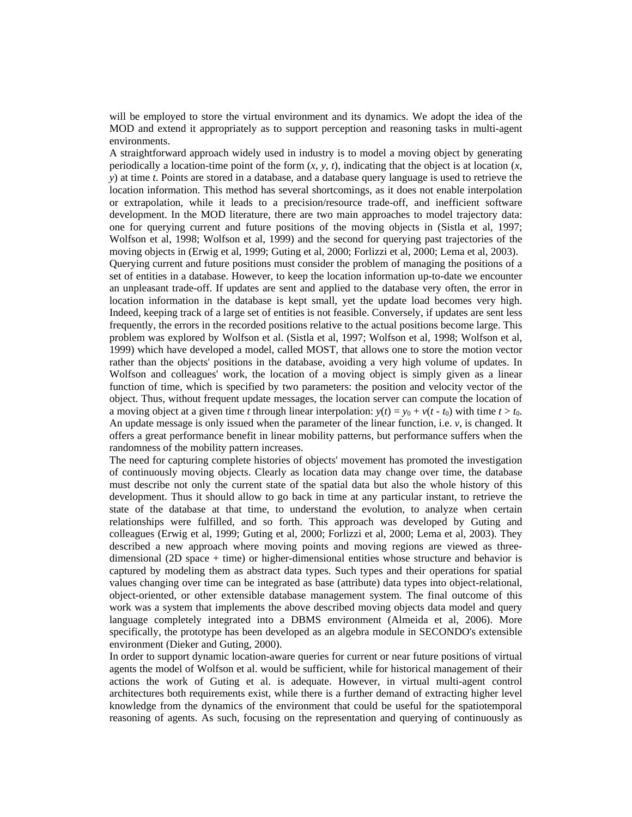will be employed to store the virtual environment and its dynamics. We adopt the idea of the MOD and extend it appropriately as to support perception and reasoning tasks in multi-agent environments.

A straightforward approach widely used in industry is to model a moving object by generating periodically a location-time point of the form  $(x, y, t)$ , indicating that the object is at location  $(x, t)$ *y*) at time *t*. Points are stored in a database, and a database query language is used to retrieve the location information. This method has several shortcomings, as it does not enable interpolation or extrapolation, while it leads to a precision/resource trade-off, and inefficient software development. In the MOD literature, there are two main approaches to model trajectory data: one for querying current and future positions of the moving objects in (Sistla et al, 1997; Wolfson et al, 1998; Wolfson et al, 1999) and the second for querying past trajectories of the moving objects in (Erwig et al, 1999; Guting et al, 2000; Forlizzi et al, 2000; Lema et al, 2003). Querying current and future positions must consider the problem of managing the positions of a set of entities in a database. However, to keep the location information up-to-date we encounter an unpleasant trade-off. If updates are sent and applied to the database very often, the error in location information in the database is kept small, yet the update load becomes very high. Indeed, keeping track of a large set of entities is not feasible. Conversely, if updates are sent less frequently, the errors in the recorded positions relative to the actual positions become large. This problem was explored by Wolfson et al. (Sistla et al, 1997; Wolfson et al, 1998; Wolfson et al, 1999) which have developed a model, called MOST, that allows one to store the motion vector rather than the objects' positions in the database, avoiding a very high volume of updates. In Wolfson and colleagues' work, the location of a moving object is simply given as a linear function of time, which is specified by two parameters: the position and velocity vector of the object. Thus, without frequent update messages, the location server can compute the location of a moving object at a given time *t* through linear interpolation:  $y(t) = y_0 + v(t - t_0)$  with time  $t > t_0$ . An update message is only issued when the parameter of the linear function, i.e. *v*, is changed. It offers a great performance benefit in linear mobility patterns, but performance suffers when the randomness of the mobility pattern increases.

The need for capturing complete histories of objects' movement has promoted the investigation of continuously moving objects. Clearly as location data may change over time, the database must describe not only the current state of the spatial data but also the whole history of this development. Thus it should allow to go back in time at any particular instant, to retrieve the state of the database at that time, to understand the evolution, to analyze when certain relationships were fulfilled, and so forth. This approach was developed by Guting and colleagues (Erwig et al, 1999; Guting et al, 2000; Forlizzi et al, 2000; Lema et al, 2003). They described a new approach where moving points and moving regions are viewed as threedimensional (2D space + time) or higher-dimensional entities whose structure and behavior is captured by modeling them as abstract data types. Such types and their operations for spatial values changing over time can be integrated as base (attribute) data types into object-relational, object-oriented, or other extensible database management system. The final outcome of this work was a system that implements the above described moving objects data model and query language completely integrated into a DBMS environment (Almeida et al, 2006). More specifically, the prototype has been developed as an algebra module in SECONDO's extensible environment (Dieker and Guting, 2000).

In order to support dynamic location-aware queries for current or near future positions of virtual agents the model of Wolfson et al. would be sufficient, while for historical management of their actions the work of Guting et al. is adequate. However, in virtual multi-agent control architectures both requirements exist, while there is a further demand of extracting higher level knowledge from the dynamics of the environment that could be useful for the spatiotemporal reasoning of agents. As such, focusing on the representation and querying of continuously as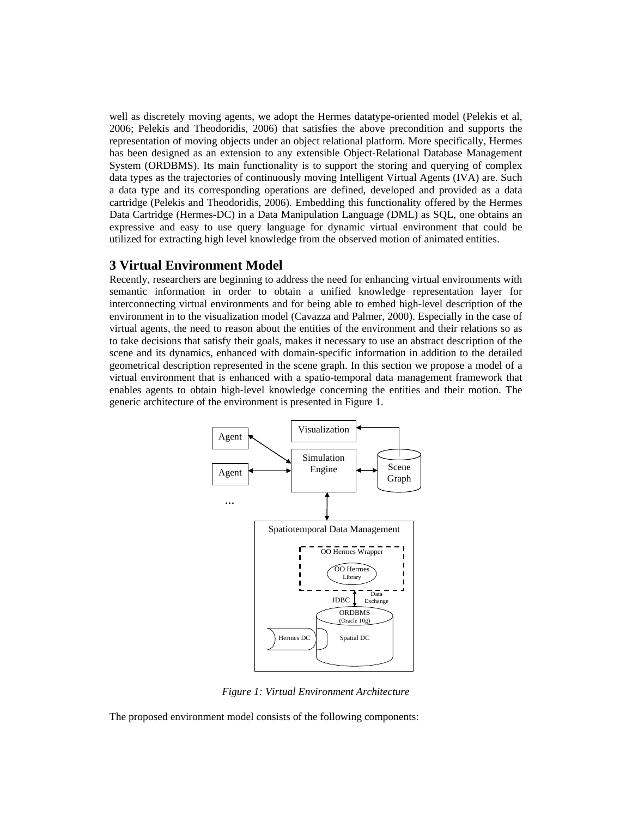well as discretely moving agents, we adopt the Hermes datatype-oriented model (Pelekis et al, 2006; Pelekis and Theodoridis, 2006) that satisfies the above precondition and supports the representation of moving objects under an object relational platform. More specifically, Hermes has been designed as an extension to any extensible Object-Relational Database Management System (ORDBMS). Its main functionality is to support the storing and querying of complex data types as the trajectories of continuously moving Intelligent Virtual Agents (IVA) are. Such a data type and its corresponding operations are defined, developed and provided as a data cartridge (Pelekis and Theodoridis, 2006). Embedding this functionality offered by the Hermes Data Cartridge (Hermes-DC) in a Data Manipulation Language (DML) as SQL, one obtains an expressive and easy to use query language for dynamic virtual environment that could be utilized for extracting high level knowledge from the observed motion of animated entities.

# **3 Virtual Environment Model**

Recently, researchers are beginning to address the need for enhancing virtual environments with semantic information in order to obtain a unified knowledge representation layer for interconnecting virtual environments and for being able to embed high-level description of the environment in to the visualization model (Cavazza and Palmer, 2000). Especially in the case of virtual agents, the need to reason about the entities of the environment and their relations so as to take decisions that satisfy their goals, makes it necessary to use an abstract description of the scene and its dynamics, enhanced with domain-specific information in addition to the detailed geometrical description represented in the scene graph. In this section we propose a model of a virtual environment that is enhanced with a spatio-temporal data management framework that enables agents to obtain high-level knowledge concerning the entities and their motion. The generic architecture of the environment is presented in Figure 1.



*Figure 1: Virtual Environment Architecture* 

The proposed environment model consists of the following components: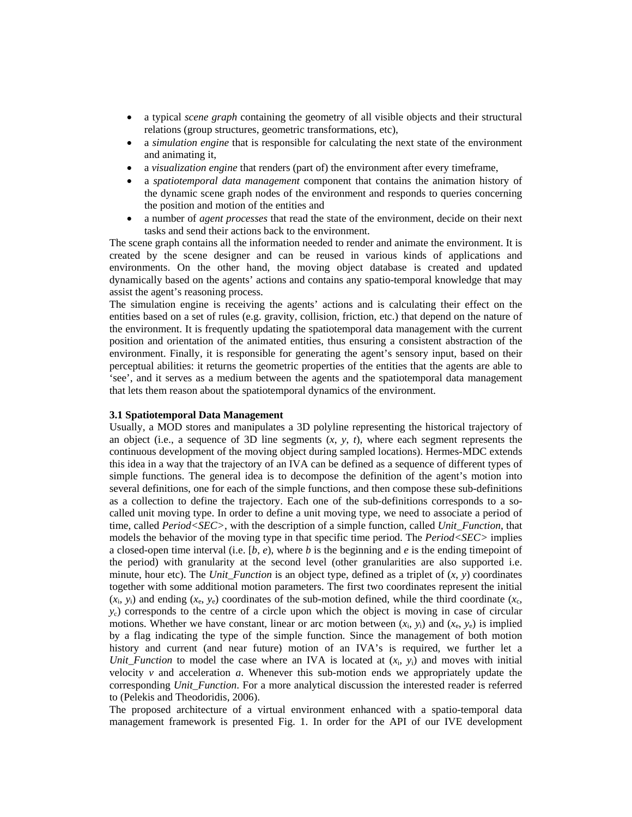- a typical *scene graph* containing the geometry of all visible objects and their structural relations (group structures, geometric transformations, etc),
- a *simulation engine* that is responsible for calculating the next state of the environment and animating it,
- a *visualization engine* that renders (part of) the environment after every timeframe,
- a *spatiotemporal data management* component that contains the animation history of the dynamic scene graph nodes of the environment and responds to queries concerning the position and motion of the entities and
- a number of *agent processes* that read the state of the environment, decide on their next tasks and send their actions back to the environment.

The scene graph contains all the information needed to render and animate the environment. It is created by the scene designer and can be reused in various kinds of applications and environments. On the other hand, the moving object database is created and updated dynamically based on the agents' actions and contains any spatio-temporal knowledge that may assist the agent's reasoning process.

The simulation engine is receiving the agents' actions and is calculating their effect on the entities based on a set of rules (e.g. gravity, collision, friction, etc.) that depend on the nature of the environment. It is frequently updating the spatiotemporal data management with the current position and orientation of the animated entities, thus ensuring a consistent abstraction of the environment. Finally, it is responsible for generating the agent's sensory input, based on their perceptual abilities: it returns the geometric properties of the entities that the agents are able to 'see', and it serves as a medium between the agents and the spatiotemporal data management that lets them reason about the spatiotemporal dynamics of the environment.

#### **3.1 Spatiotemporal Data Management**

Usually, a MOD stores and manipulates a 3D polyline representing the historical trajectory of an object (i.e., a sequence of 3D line segments  $(x, y, t)$ , where each segment represents the continuous development of the moving object during sampled locations). Hermes-MDC extends this idea in a way that the trajectory of an IVA can be defined as a sequence of different types of simple functions. The general idea is to decompose the definition of the agent's motion into several definitions, one for each of the simple functions, and then compose these sub-definitions as a collection to define the trajectory. Each one of the sub-definitions corresponds to a socalled unit moving type. In order to define a unit moving type, we need to associate a period of time, called *Period<SEC>*, with the description of a simple function, called *Unit\_Function*, that models the behavior of the moving type in that specific time period. The *Period<SEC>* implies a closed-open time interval (i.e.  $[b, e)$ , where  $b$  is the beginning and  $e$  is the ending timepoint of the period) with granularity at the second level (other granularities are also supported i.e. minute, hour etc). The *Unit Function* is an object type, defined as a triplet of  $(x, y)$  coordinates together with some additional motion parameters. The first two coordinates represent the initial  $(x_i, y_i)$  and ending  $(x_e, y_e)$  coordinates of the sub-motion defined, while the third coordinate  $(x_c, y_e)$ *y<sub>c</sub>*) corresponds to the centre of a circle upon which the object is moving in case of circular motions. Whether we have constant, linear or arc motion between  $(x_i, y_i)$  and  $(x_e, y_e)$  is implied by a flag indicating the type of the simple function. Since the management of both motion history and current (and near future) motion of an IVA's is required, we further let a *Unit\_Function* to model the case where an IVA is located at  $(x_i, y_i)$  and moves with initial velocity  $\nu$  and acceleration  $a$ . Whenever this sub-motion ends we appropriately update the corresponding *Unit Function*. For a more analytical discussion the interested reader is referred to (Pelekis and Theodoridis, 2006).

The proposed architecture of a virtual environment enhanced with a spatio-temporal data management framework is presented Fig. 1. In order for the API of our IVE development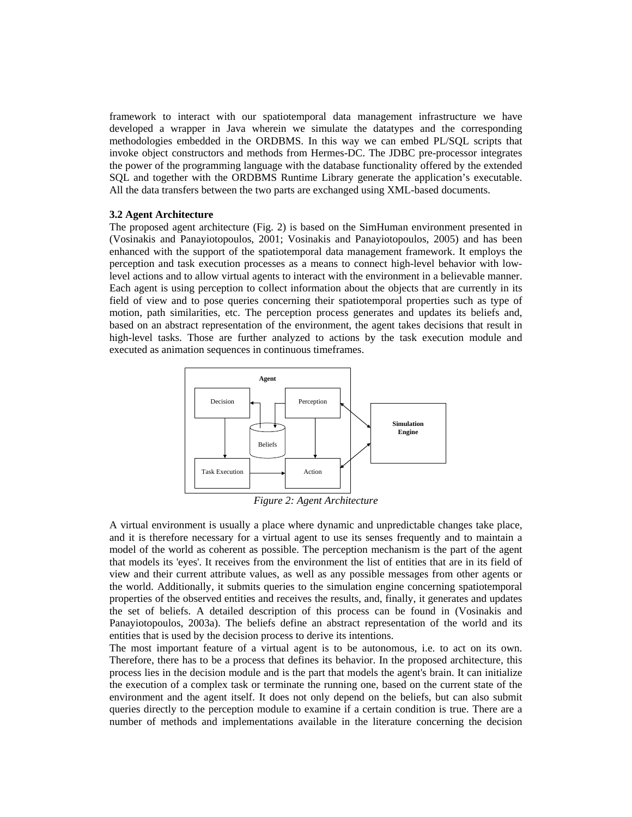framework to interact with our spatiotemporal data management infrastructure we have developed a wrapper in Java wherein we simulate the datatypes and the corresponding methodologies embedded in the ORDBMS. In this way we can embed PL/SQL scripts that invoke object constructors and methods from Hermes-DC. The JDBC pre-processor integrates the power of the programming language with the database functionality offered by the extended SQL and together with the ORDBMS Runtime Library generate the application's executable. All the data transfers between the two parts are exchanged using XML-based documents.

#### **3.2 Agent Architecture**

The proposed agent architecture (Fig. 2) is based on the SimHuman environment presented in (Vosinakis and Panayiotopoulos, 2001; Vosinakis and Panayiotopoulos, 2005) and has been enhanced with the support of the spatiotemporal data management framework. It employs the perception and task execution processes as a means to connect high-level behavior with lowlevel actions and to allow virtual agents to interact with the environment in a believable manner. Each agent is using perception to collect information about the objects that are currently in its field of view and to pose queries concerning their spatiotemporal properties such as type of motion, path similarities, etc. The perception process generates and updates its beliefs and, based on an abstract representation of the environment, the agent takes decisions that result in high-level tasks. Those are further analyzed to actions by the task execution module and executed as animation sequences in continuous timeframes.



*Figure 2: Agent Architecture* 

A virtual environment is usually a place where dynamic and unpredictable changes take place, and it is therefore necessary for a virtual agent to use its senses frequently and to maintain a model of the world as coherent as possible. The perception mechanism is the part of the agent that models its 'eyes'. It receives from the environment the list of entities that are in its field of view and their current attribute values, as well as any possible messages from other agents or the world. Additionally, it submits queries to the simulation engine concerning spatiotemporal properties of the observed entities and receives the results, and, finally, it generates and updates the set of beliefs. A detailed description of this process can be found in (Vosinakis and Panayiotopoulos, 2003a). The beliefs define an abstract representation of the world and its entities that is used by the decision process to derive its intentions.

The most important feature of a virtual agent is to be autonomous, i.e. to act on its own. Therefore, there has to be a process that defines its behavior. In the proposed architecture, this process lies in the decision module and is the part that models the agent's brain. It can initialize the execution of a complex task or terminate the running one, based on the current state of the environment and the agent itself. It does not only depend on the beliefs, but can also submit queries directly to the perception module to examine if a certain condition is true. There are a number of methods and implementations available in the literature concerning the decision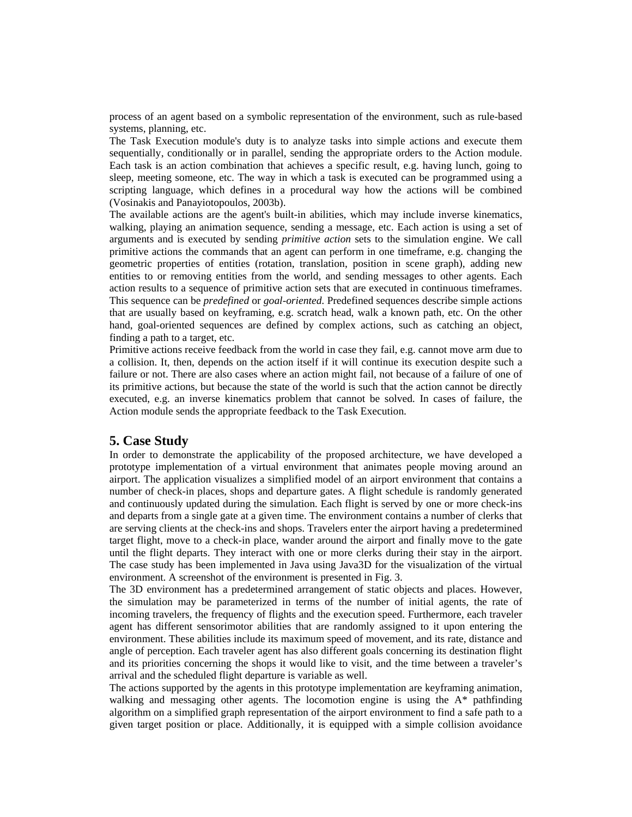process of an agent based on a symbolic representation of the environment, such as rule-based systems, planning, etc.

The Task Execution module's duty is to analyze tasks into simple actions and execute them sequentially, conditionally or in parallel, sending the appropriate orders to the Action module. Each task is an action combination that achieves a specific result, e.g. having lunch, going to sleep, meeting someone, etc. The way in which a task is executed can be programmed using a scripting language, which defines in a procedural way how the actions will be combined (Vosinakis and Panayiotopoulos, 2003b).

The available actions are the agent's built-in abilities, which may include inverse kinematics, walking, playing an animation sequence, sending a message, etc. Each action is using a set of arguments and is executed by sending *primitive action* sets to the simulation engine. We call primitive actions the commands that an agent can perform in one timeframe, e.g. changing the geometric properties of entities (rotation, translation, position in scene graph), adding new entities to or removing entities from the world, and sending messages to other agents. Each action results to a sequence of primitive action sets that are executed in continuous timeframes. This sequence can be *predefined* or *goal-oriented*. Predefined sequences describe simple actions that are usually based on keyframing, e.g. scratch head, walk a known path, etc. On the other hand, goal-oriented sequences are defined by complex actions, such as catching an object, finding a path to a target, etc.

Primitive actions receive feedback from the world in case they fail, e.g. cannot move arm due to a collision. It, then, depends on the action itself if it will continue its execution despite such a failure or not. There are also cases where an action might fail, not because of a failure of one of its primitive actions, but because the state of the world is such that the action cannot be directly executed, e.g. an inverse kinematics problem that cannot be solved. In cases of failure, the Action module sends the appropriate feedback to the Task Execution.

### **5. Case Study**

In order to demonstrate the applicability of the proposed architecture, we have developed a prototype implementation of a virtual environment that animates people moving around an airport. The application visualizes a simplified model of an airport environment that contains a number of check-in places, shops and departure gates. A flight schedule is randomly generated and continuously updated during the simulation. Each flight is served by one or more check-ins and departs from a single gate at a given time. The environment contains a number of clerks that are serving clients at the check-ins and shops. Travelers enter the airport having a predetermined target flight, move to a check-in place, wander around the airport and finally move to the gate until the flight departs. They interact with one or more clerks during their stay in the airport. The case study has been implemented in Java using Java3D for the visualization of the virtual environment. A screenshot of the environment is presented in Fig. 3.

The 3D environment has a predetermined arrangement of static objects and places. However, the simulation may be parameterized in terms of the number of initial agents, the rate of incoming travelers, the frequency of flights and the execution speed. Furthermore, each traveler agent has different sensorimotor abilities that are randomly assigned to it upon entering the environment. These abilities include its maximum speed of movement, and its rate, distance and angle of perception. Each traveler agent has also different goals concerning its destination flight and its priorities concerning the shops it would like to visit, and the time between a traveler's arrival and the scheduled flight departure is variable as well.

The actions supported by the agents in this prototype implementation are keyframing animation, walking and messaging other agents. The locomotion engine is using the A\* pathfinding algorithm on a simplified graph representation of the airport environment to find a safe path to a given target position or place. Additionally, it is equipped with a simple collision avoidance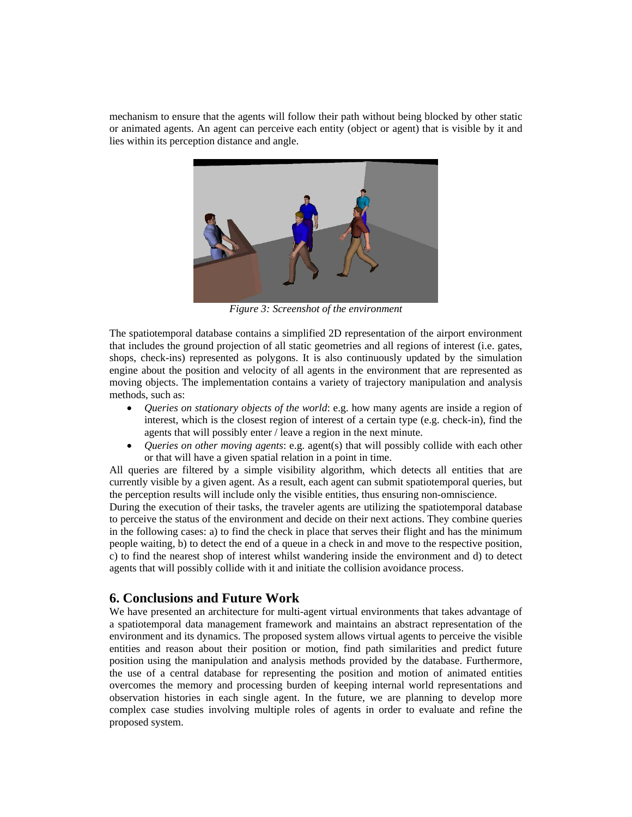mechanism to ensure that the agents will follow their path without being blocked by other static or animated agents. An agent can perceive each entity (object or agent) that is visible by it and lies within its perception distance and angle.



*Figure 3: Screenshot of the environment* 

The spatiotemporal database contains a simplified 2D representation of the airport environment that includes the ground projection of all static geometries and all regions of interest (i.e. gates, shops, check-ins) represented as polygons. It is also continuously updated by the simulation engine about the position and velocity of all agents in the environment that are represented as moving objects. The implementation contains a variety of trajectory manipulation and analysis methods, such as:

- *Queries on stationary objects of the world*: e.g. how many agents are inside a region of interest, which is the closest region of interest of a certain type (e.g. check-in), find the agents that will possibly enter / leave a region in the next minute.
- *Queries on other moving agents*: e.g. agent(s) that will possibly collide with each other or that will have a given spatial relation in a point in time.

All queries are filtered by a simple visibility algorithm, which detects all entities that are currently visible by a given agent. As a result, each agent can submit spatiotemporal queries, but the perception results will include only the visible entities, thus ensuring non-omniscience.

During the execution of their tasks, the traveler agents are utilizing the spatiotemporal database to perceive the status of the environment and decide on their next actions. They combine queries in the following cases: a) to find the check in place that serves their flight and has the minimum people waiting, b) to detect the end of a queue in a check in and move to the respective position, c) to find the nearest shop of interest whilst wandering inside the environment and d) to detect agents that will possibly collide with it and initiate the collision avoidance process.

# **6. Conclusions and Future Work**

We have presented an architecture for multi-agent virtual environments that takes advantage of a spatiotemporal data management framework and maintains an abstract representation of the environment and its dynamics. The proposed system allows virtual agents to perceive the visible entities and reason about their position or motion, find path similarities and predict future position using the manipulation and analysis methods provided by the database. Furthermore, the use of a central database for representing the position and motion of animated entities overcomes the memory and processing burden of keeping internal world representations and observation histories in each single agent. In the future, we are planning to develop more complex case studies involving multiple roles of agents in order to evaluate and refine the proposed system.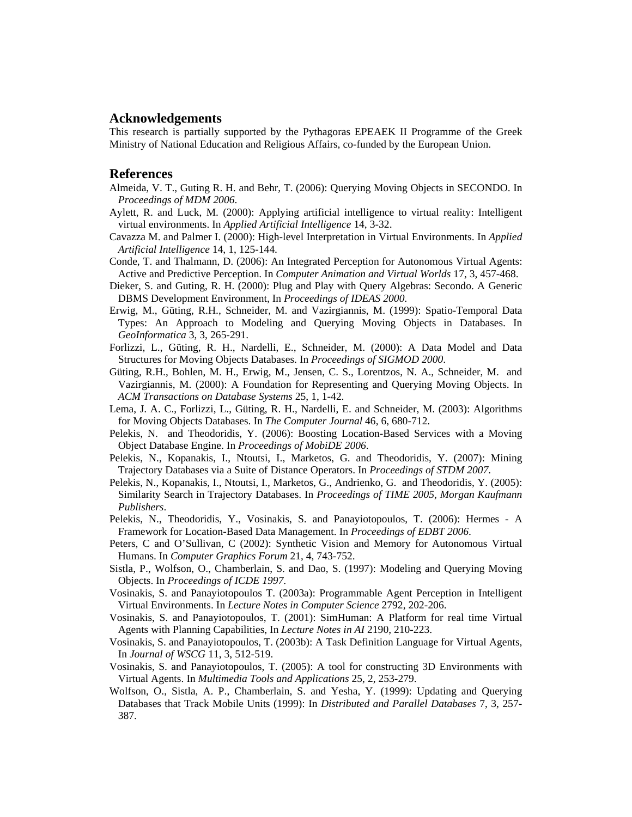## **Acknowledgements**

This research is partially supported by the Pythagoras EPEAEK II Programme of the Greek Ministry of National Education and Religious Affairs, co-funded by the European Union.

#### **References**

- Almeida, V. T., Guting R. H. and Behr, T. (2006): Querying Moving Objects in SECONDO. In *Proceedings of MDM 2006*.
- Aylett, R. and Luck, M. (2000): Applying artificial intelligence to virtual reality: Intelligent virtual environments. In *Applied Artificial Intelligence* 14, 3-32.
- Cavazza M. and Palmer I. (2000): High-level Interpretation in Virtual Environments. In *Applied Artificial Intelligence* 14, 1, 125-144.
- Conde, T. and Thalmann, D. (2006): An Integrated Perception for Autonomous Virtual Agents: Active and Predictive Perception. In *Computer Animation and Virtual Worlds* 17, 3, 457-468.
- Dieker, S. and Guting, R. H. (2000): Plug and Play with Query Algebras: Secondo. A Generic DBMS Development Environment, In *Proceedings of IDEAS 2000*.
- Erwig, M., Güting, R.H., Schneider, M. and Vazirgiannis, M. (1999): Spatio-Temporal Data Types: An Approach to Modeling and Querying Moving Objects in Databases. In *GeoInformatica* 3, 3, 265-291.
- Forlizzi, L., Güting, R. H., Nardelli, E., Schneider, M. (2000): A Data Model and Data Structures for Moving Objects Databases. In *Proceedings of SIGMOD 2000*.
- Güting, R.H., Bohlen, M. H., Erwig, M., Jensen, C. S., Lorentzos, N. A., Schneider, M. and Vazirgiannis, M. (2000): A Foundation for Representing and Querying Moving Objects. In *ACM Transactions on Database Systems* 25, 1, 1-42.
- Lema, J. A. C., Forlizzi, L., Güting, R. H., Nardelli, E. and Schneider, M. (2003): Algorithms for Moving Objects Databases. In *The Computer Journal* 46, 6, 680-712.
- Pelekis, N. and Theodoridis, Y. (2006): Boosting Location-Based Services with a Moving Object Database Engine. In *Proceedings of MobiDE 2006*.
- Pelekis, N., Kopanakis, I., Ntoutsi, I., Marketos, G. and Theodoridis, Y. (2007): Mining Trajectory Databases via a Suite of Distance Operators. In *Proceedings of STDM 2007*.
- Pelekis, N., Kopanakis, I., Ntoutsi, I., Marketos, G., Andrienko, G. and Theodoridis, Y. (2005): Similarity Search in Trajectory Databases. In *Proceedings of TIME 2005*, *Morgan Kaufmann Publishers*.
- Pelekis, N., Theodoridis, Y., Vosinakis, S. and Panayiotopoulos, T. (2006): Hermes A Framework for Location-Based Data Management. In *Proceedings of EDBT 2006*.
- Peters, C and O'Sullivan, C (2002): Synthetic Vision and Memory for Autonomous Virtual Humans. In *Computer Graphics Forum* 21, 4, 743-752.
- Sistla, P., Wolfson, O., Chamberlain, S. and Dao, S. (1997): Modeling and Querying Moving Objects. In *Proceedings of ICDE 1997*.
- Vosinakis, S. and Panayiotopoulos T. (2003a): Programmable Agent Perception in Intelligent Virtual Environments. In *Lecture Notes in Computer Science* 2792, 202-206.
- Vosinakis, S. and Panayiotopoulos, T. (2001): SimHuman: A Platform for real time Virtual Agents with Planning Capabilities, In *Lecture Notes in AI* 2190, 210-223.
- Vosinakis, S. and Panayiotopoulos, T. (2003b): A Task Definition Language for Virtual Agents, In *Journal of WSCG* 11, 3, 512-519.
- Vosinakis, S. and Panayiotopoulos, T. (2005): A tool for constructing 3D Environments with Virtual Agents. In *Multimedia Tools and Applications* 25, 2, 253-279.
- Wolfson, O., Sistla, A. P., Chamberlain, S. and Yesha, Y. (1999): Updating and Querying Databases that Track Mobile Units (1999): In *Distributed and Parallel Databases* 7, 3, 257- 387.